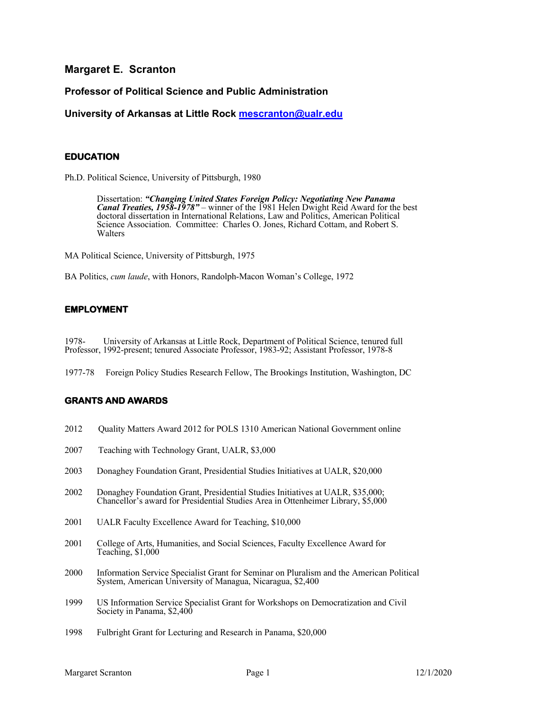**Margaret E. Scranton**

# **Professor of Political Science and Public Administration**

**University of Arkansas at Little Rock mescranton@ualr.edu**

## **EDUCATION**

Ph.D. Political Science, University of Pittsburgh, 1980

Dissertation: *"Changing United States Foreign Policy: Negotiating New Panama Canal Treaties, 1958-1978"* – winner of the 1981 Helen Dwight Reid Award for the best doctoral dissertation in International Relations, Law and Politics, American Political Science Association. Committee: Charles O. Jones, Richard Cottam, and Robert S. Walters

MA Political Science, University of Pittsburgh, 1975

BA Politics, *cum laude*, with Honors, Randolph-Macon Woman's College, 1972

### **EMPLOYMENT**

1978- University of Arkansas at Little Rock, Department of Political Science, tenured full Professor, 1992-present; tenured Associate Professor, 1983-92; Assistant Professor, 1978-8

1977-78 Foreign Policy Studies Research Fellow, The Brookings Institution, Washington, DC

### **GRANTS AND AWARDS**

- 2012 Quality Matters Award 2012 for POLS 1310 American National Government online
- 2007 Teaching with Technology Grant, UALR, \$3,000
- 2003 Donaghey Foundation Grant, Presidential Studies Initiatives at UALR, \$20,000
- 2002 Donaghey Foundation Grant, Presidential Studies Initiatives at UALR, \$35,000; Chancellor's award for Presidential Studies Area in Ottenheimer Library, \$5,000
- 2001 UALR Faculty Excellence Award for Teaching, \$10,000
- 2001 College of Arts, Humanities, and Social Sciences, Faculty Excellence Award for Teaching, \$1,000
- 2000 Information Service Specialist Grant for Seminar on Pluralism and the American Political System, American University of Managua, Nicaragua, \$2,400
- 1999 US Information Service Specialist Grant for Workshops on Democratization and Civil Society in Panama, \$2,400
- 1998 Fulbright Grant for Lecturing and Research in Panama, \$20,000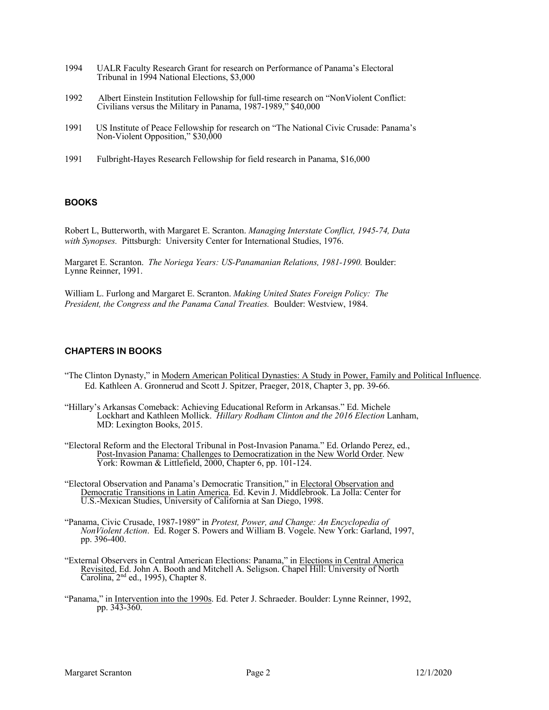- 1994 UALR Faculty Research Grant for research on Performance of Panama's Electoral Tribunal in 1994 National Elections, \$3,000
- 1992 Albert Einstein Institution Fellowship for full-time research on "NonViolent Conflict: Civilians versus the Military in Panama, 1987-1989," \$40,000
- 1991 US Institute of Peace Fellowship for research on "The National Civic Crusade: Panama's Non-Violent Opposition," \$30,000
- 1991 Fulbright-Hayes Research Fellowship for field research in Panama, \$16,000

### **BOOKS**

Robert L, Butterworth, with Margaret E. Scranton. *Managing Interstate Conflict, 1945-74, Data with Synopses.* Pittsburgh: University Center for International Studies, 1976.

Margaret E. Scranton. *The Noriega Years: US-Panamanian Relations, 1981-1990.* Boulder: Lynne Reinner, 1991.

William L. Furlong and Margaret E. Scranton. *Making United States Foreign Policy: The President, the Congress and the Panama Canal Treaties.* Boulder: Westview, 1984.

#### **CHAPTERS IN BOOKS**

- "The Clinton Dynasty," in Modern American Political Dynasties: A Study in Power, Family and Political Influence. Ed. Kathleen A. Gronnerud and Scott J. Spitzer, Praeger, 2018, Chapter 3, pp. 39-66.
- "Hillary's Arkansas Comeback: Achieving Educational Reform in Arkansas." Ed. Michele Lockhart and Kathleen Mollick. *Hillary Rodham Clinton and the 2016 Election* Lanham, MD: Lexington Books, 2015.
- "Electoral Reform and the Electoral Tribunal in Post-Invasion Panama." Ed. Orlando Perez, ed., Post-Invasion Panama: Challenges to Democratization in the New World Order. New York: Rowman & Littlefield, 2000, Chapter 6, pp. 101-124.
- "Electoral Observation and Panama's Democratic Transition," in Electoral Observation and Democratic Transitions in Latin America. Ed. Kevin J. Middlebrook. La Jolla: Center for U.S.-Mexican Studies, University of California at San Diego, 1998.
- "Panama, Civic Crusade, 1987-1989" in *Protest, Power, and Change: An Encyclopedia of NonViolent Action*. Ed. Roger S. Powers and William B. Vogele. New York: Garland, 1997, pp. 396-400.
- "External Observers in Central American Elections: Panama," in Elections in Central America Revisited, Ed. John A. Booth and Mitchell A. Seligson. Chapel Hill: University of North Carolina, 2nd ed., 1995), Chapter 8.
- "Panama," in Intervention into the 1990s. Ed. Peter J. Schraeder. Boulder: Lynne Reinner, 1992, pp. 343-360.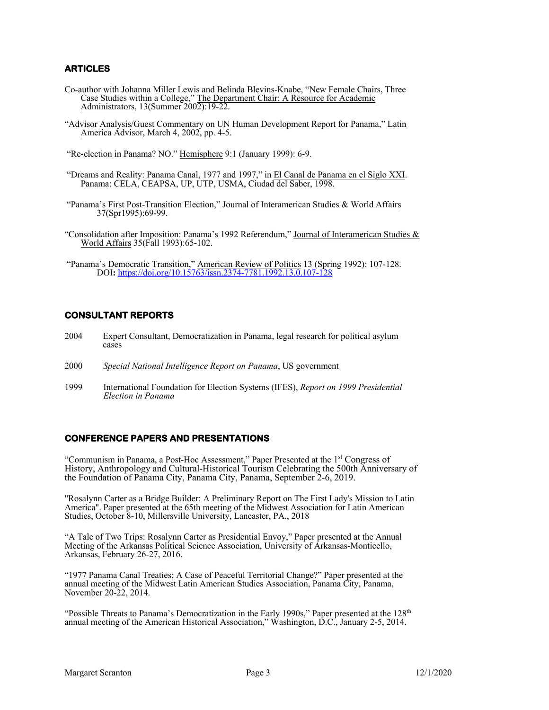## **ARTICLES**

- Co-author with Johanna Miller Lewis and Belinda Blevins-Knabe, "New Female Chairs, Three Case Studies within a College," The Department Chair: A Resource for Academic Administrators, 13(Summer 2002):19-22.
- "Advisor Analysis/Guest Commentary on UN Human Development Report for Panama," Latin America Advisor, March 4, 2002, pp. 4-5.
- "Re-election in Panama? NO." Hemisphere 9:1 (January 1999): 6-9.
- "Dreams and Reality: Panama Canal, 1977 and 1997," in El Canal de Panama en el Siglo XXI. Panama: CELA, CEAPSA, UP, UTP, USMA, Ciudad del Saber, 1998.
- "Panama's First Post-Transition Election," Journal of Interamerican Studies & World Affairs 37(Spr1995):69-99.
- "Consolidation after Imposition: Panama's 1992 Referendum," Journal of Interamerican Studies & World Affairs 35(Fall 1993):65-102.
- "Panama's Democratic Transition," American Review of Politics 13 (Spring 1992): 107-128. DOI**:** https://doi.org/10.15763/issn.2374-7781.1992.13.0.107-128

## **CONSULTANT REPORTS**

- <sup>2004</sup> Expert Consultant, Democratization in Panama, legal research for political asylum cases
- 2000 *Special National Intelligence Report on Panama*, US government
- 1999 International Foundation for Election Systems (IFES), *Report on 1999 Presidential Election in Panama*

### **CONFERENCE PAPERS AND PRESENTATIONS**

"Communism in Panama, a Post-Hoc Assessment," Paper Presented at the 1<sup>st</sup> Congress of History, Anthropology and Cultural-Historical Tourism Celebrating the 500th Anniversary of the Foundation of Panama City, Panama City, Panama, September 2-6, 2019.

"Rosalynn Carter as a Bridge Builder: A Preliminary Report on The First Lady's Mission to Latin America". Paper presented at the 65th meeting of the Midwest Association for Latin American Studies, October 8-10, Millersville University, Lancaster, PA., 2018

"A Tale of Two Trips: Rosalynn Carter as Presidential Envoy," Paper presented at the Annual Meeting of the Arkansas Political Science Association, University of Arkansas-Monticello, Arkansas, February 26-27, 2016.

"1977 Panama Canal Treaties: A Case of Peaceful Territorial Change?" Paper presented at the annual meeting of the Midwest Latin American Studies Association, Panama City, Panama, November 20-22, 2014.

"Possible Threats to Panama's Democratization in the Early 1990s," Paper presented at the  $128<sup>th</sup>$ annual meeting of the American Historical Association," Washington, D.C., January 2-5, 2014.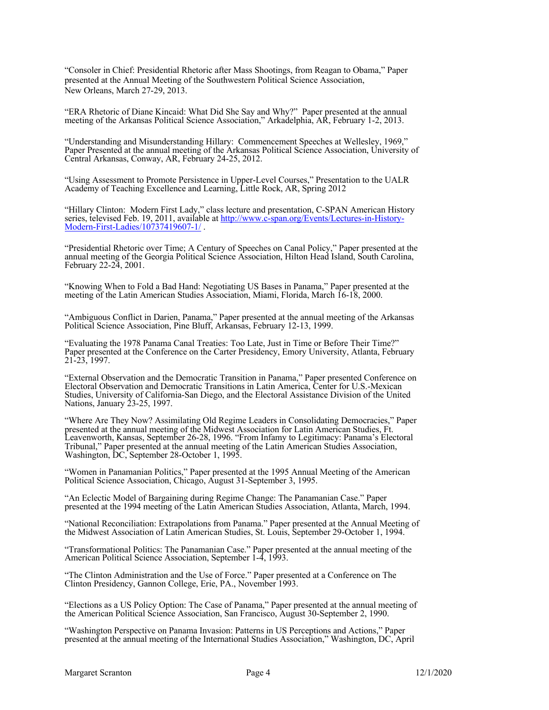"Consoler in Chief: Presidential Rhetoric after Mass Shootings, from Reagan to Obama," Paper presented at the Annual Meeting of the Southwestern Political Science Association, New Orleans, March 27-29, 2013.

"ERA Rhetoric of Diane Kincaid: What Did She Say and Why?" Paper presented at the annual meeting of the Arkansas Political Science Association," Arkadelphia, AR, February 1-2, 2013.

"Understanding and Misunderstanding Hillary: Commencement Speeches at Wellesley, 1969," Paper Presented at the annual meeting of the Arkansas Political Science Association, University of Central Arkansas, Conway, AR, February 24-25, 2012.

"Using Assessment to Promote Persistence in Upper-Level Courses," Presentation to the UALR Academy of Teaching Excellence and Learning, Little Rock, AR, Spring 2012

"Hillary Clinton: Modern First Lady," class lecture and presentation, C-SPAN American History series, televised Feb. 19, 2011, available at http://www.c-span.org/Events/Lectures-in-History-Modern-First-Ladies/10737419607-1/

"Presidential Rhetoric over Time; A Century of Speeches on Canal Policy," Paper presented at the annual meeting of the Georgia Political Science Association, Hilton Head Island, South Carolina, February 22-24, 2001.

"Knowing When to Fold a Bad Hand: Negotiating US Bases in Panama," Paper presented at the meeting of the Latin American Studies Association, Miami, Florida, March 16-18, 2000.

"Ambiguous Conflict in Darien, Panama," Paper presented at the annual meeting of the Arkansas Political Science Association, Pine Bluff, Arkansas, February 12-13, 1999.

"Evaluating the 1978 Panama Canal Treaties: Too Late, Just in Time or Before Their Time?" Paper presented at the Conference on the Carter Presidency, Emory University, Atlanta, February 21-23, 1997.

"External Observation and the Democratic Transition in Panama," Paper presented Conference on Electoral Observation and Democratic Transitions in Latin America, Center for U.S.-Mexican Studies, University of California-San Diego, and the Electoral Assistance Division of the United Nations, January 23-25, 1997.

"Where Are They Now? Assimilating Old Regime Leaders in Consolidating Democracies," Paper presented at the annual meeting of the Midwest Association for Latin American Studies, Ft. Leavenworth, Kansas, September 26-28, 1996. "From Infamy to Legitimacy: Panama's Electoral Tribunal," Paper presented at the annual meeting of the Latin American Studies Association, Washington, DC, September 28-October 1, 1995.

"Women in Panamanian Politics," Paper presented at the 1995 Annual Meeting of the American Political Science Association, Chicago, August 31-September 3, 1995.

"An Eclectic Model of Bargaining during Regime Change: The Panamanian Case." Paper presented at the 1994 meeting of the Latin American Studies Association, Atlanta, March, 1994.

"National Reconciliation: Extrapolations from Panama." Paper presented at the Annual Meeting of the Midwest Association of Latin American Studies, St. Louis, September 29-October 1, 1994.

"Transformational Politics: The Panamanian Case." Paper presented at the annual meeting of the American Political Science Association, September 1-4, 1993.

"The Clinton Administration and the Use of Force." Paper presented at a Conference on The Clinton Presidency, Gannon College, Erie, PA., November 1993.

"Elections as a US Policy Option: The Case of Panama," Paper presented at the annual meeting of the American Political Science Association, San Francisco, August 30-September 2, 1990.

"Washington Perspective on Panama Invasion: Patterns in US Perceptions and Actions," Paper presented at the annual meeting of the International Studies Association," Washington, DC, April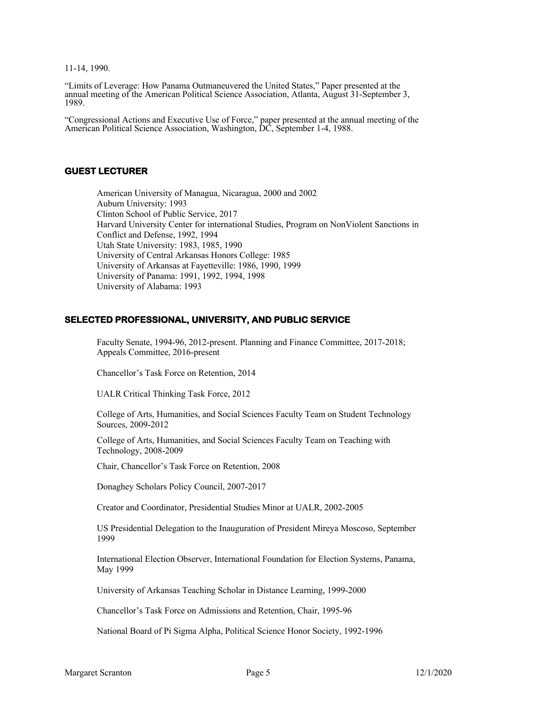11-14, 1990.

"Limits of Leverage: How Panama Outmaneuvered the United States," Paper presented at the annual meeting of the American Political Science Association, Atlanta, August 31-September 3, 1989.

"Congressional Actions and Executive Use of Force," paper presented at the annual meeting of the American Political Science Association, Washington, DC, September 1-4, 1988.

#### **GUEST LECTURER**

American University of Managua, Nicaragua, 2000 and 2002 Auburn University: 1993 Clinton School of Public Service, 2017 Harvard University Center for international Studies, Program on NonViolent Sanctions in Conflict and Defense, 1992, 1994 Utah State University: 1983, 1985, 1990 University of Central Arkansas Honors College: 1985 University of Arkansas at Fayetteville: 1986, 1990, 1999 University of Panama: 1991, 1992, 1994, 1998 University of Alabama: 1993

#### **SELECTED PROFESSIONAL, UNIVERSITY, AND PUBLIC SERVICE**

Faculty Senate, 1994-96, 2012-present. Planning and Finance Committee, 2017-2018; Appeals Committee, 2016-present

Chancellor's Task Force on Retention, 2014

UALR Critical Thinking Task Force, 2012

College of Arts, Humanities, and Social Sciences Faculty Team on Student Technology Sources, 2009-2012

College of Arts, Humanities, and Social Sciences Faculty Team on Teaching with Technology, 2008-2009

Chair, Chancellor's Task Force on Retention, 2008

Donaghey Scholars Policy Council, 2007-2017

Creator and Coordinator, Presidential Studies Minor at UALR, 2002-2005

US Presidential Delegation to the Inauguration of President Mireya Moscoso, September 1999

International Election Observer, International Foundation for Election Systems, Panama, May 1999

University of Arkansas Teaching Scholar in Distance Learning, 1999-2000

Chancellor's Task Force on Admissions and Retention, Chair, 1995-96

National Board of Pi Sigma Alpha, Political Science Honor Society, 1992-1996